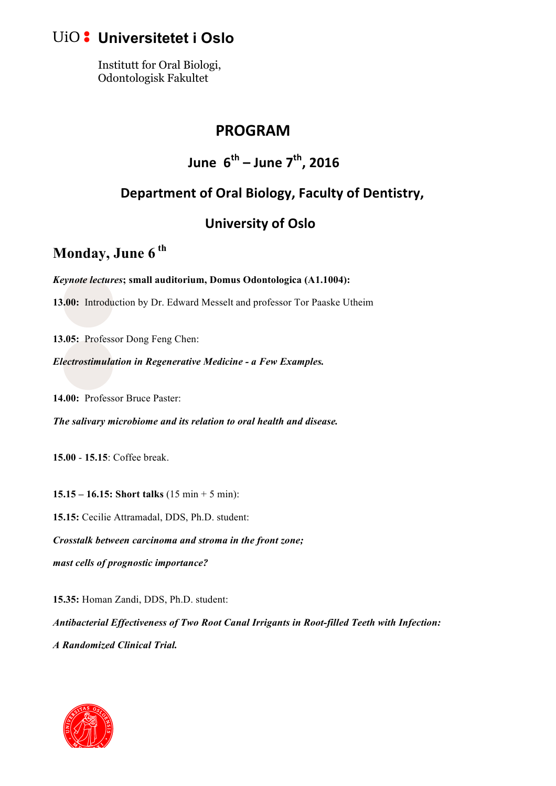## **Universitetet i Oslo**

Institutt for Oral Biologi, Odontologisk Fakultet

#### **PROGRAM**

## **June**  $6^{th}$  – **June**  $7^{th}$ , 2016

#### Department of Oral Biology, Faculty of Dentistry,

#### **University of Oslo**

# **Monday, June 6 th**

*Keynote lectures***; small auditorium, Domus Odontologica (A1.1004):**

**13.00:** Introduction by Dr. Edward Messelt and professor Tor Paaske Utheim

**13.05:** Professor Dong Feng Chen:

*Electrostimulation in Regenerative Medicine - a Few Examples.* 

**14.00:** Professor Bruce Paster:

*The salivary microbiome and its relation to oral health and disease.* 

**15.00** - **15.15**: Coffee break.

**15.15 – 16.15: Short talks** (15 min + 5 min): **15.15:** Cecilie Attramadal, DDS, Ph.D. student: *Crosstalk between carcinoma and stroma in the front zone; mast cells of prognostic importance?*

**15.35:** Homan Zandi, DDS, Ph.D. student: *Antibacterial Effectiveness of Two Root Canal Irrigants in Root-filled Teeth with Infection: A Randomized Clinical Trial.*